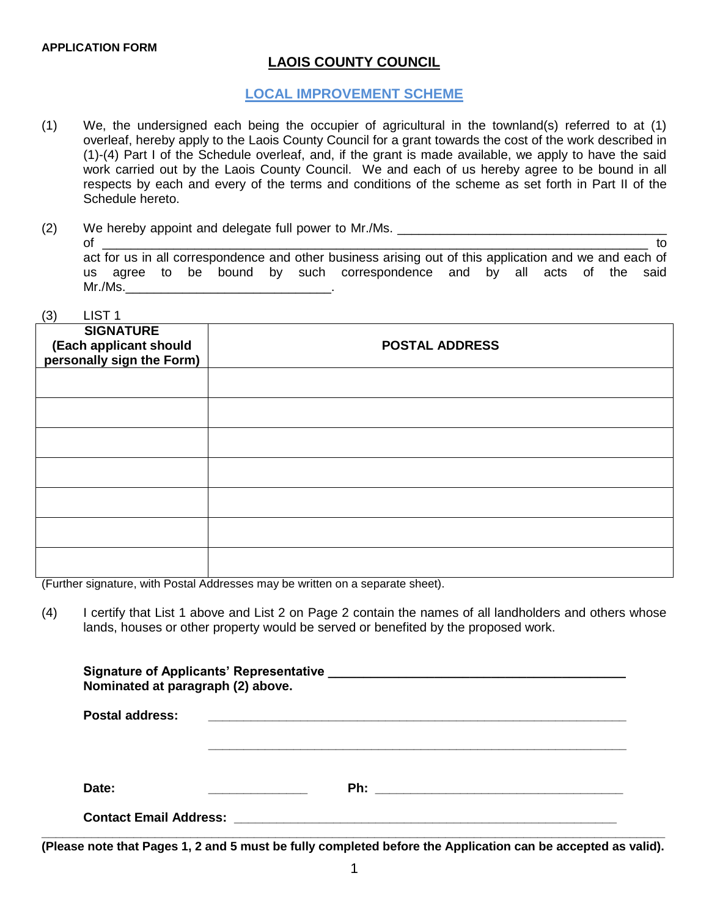$\left(2\right)$   $\left(1\right)$   $\left(2\right)$   $\left(1\right)$   $\left(2\right)$   $\left(1\right)$ 

# **LAOIS COUNTY COUNCIL**

## **LOCAL IMPROVEMENT SCHEME**

- (1) We, the undersigned each being the occupier of agricultural in the townland(s) referred to at (1) overleaf, hereby apply to the Laois County Council for a grant towards the cost of the work described in (1)-(4) Part I of the Schedule overleaf, and, if the grant is made available, we apply to have the said work carried out by the Laois County Council. We and each of us hereby agree to be bound in all respects by each and every of the terms and conditions of the scheme as set forth in Part II of the Schedule hereto.
- (2) We hereby appoint and delegate full power to Mr./Ms. \_\_\_\_\_\_\_\_\_\_\_\_\_\_\_\_\_\_\_\_\_\_\_

| of |         |  |  |                                                                                                        |  |  |  | to |
|----|---------|--|--|--------------------------------------------------------------------------------------------------------|--|--|--|----|
|    |         |  |  | act for us in all correspondence and other business arising out of this application and we and each of |  |  |  |    |
|    |         |  |  | us agree to be bound by such correspondence and by all acts of the said                                |  |  |  |    |
|    | Mr./Ms. |  |  |                                                                                                        |  |  |  |    |

| 3)<br>LIST <sub>1</sub>                                                 |                       |
|-------------------------------------------------------------------------|-----------------------|
| <b>SIGNATURE</b><br>(Each applicant should<br>personally sign the Form) | <b>POSTAL ADDRESS</b> |
|                                                                         |                       |
|                                                                         |                       |
|                                                                         |                       |
|                                                                         |                       |
|                                                                         |                       |
|                                                                         |                       |
|                                                                         |                       |

(Further signature, with Postal Addresses may be written on a separate sheet).

(4) I certify that List 1 above and List 2 on Page 2 contain the names of all landholders and others whose lands, houses or other property would be served or benefited by the proposed work.

| Nominated at paragraph (2) above.                                                                                     |  |
|-----------------------------------------------------------------------------------------------------------------------|--|
| <u> 1989 - Johann Stoff, deutscher Stoff, der Stoff, der Stoff, der Stoff, der Stoff, der Stoff, der Stoff, der S</u> |  |
|                                                                                                                       |  |
|                                                                                                                       |  |
|                                                                                                                       |  |
|                                                                                                                       |  |

**(Please note that Pages 1, 2 and 5 must be fully completed before the Application can be accepted as valid).**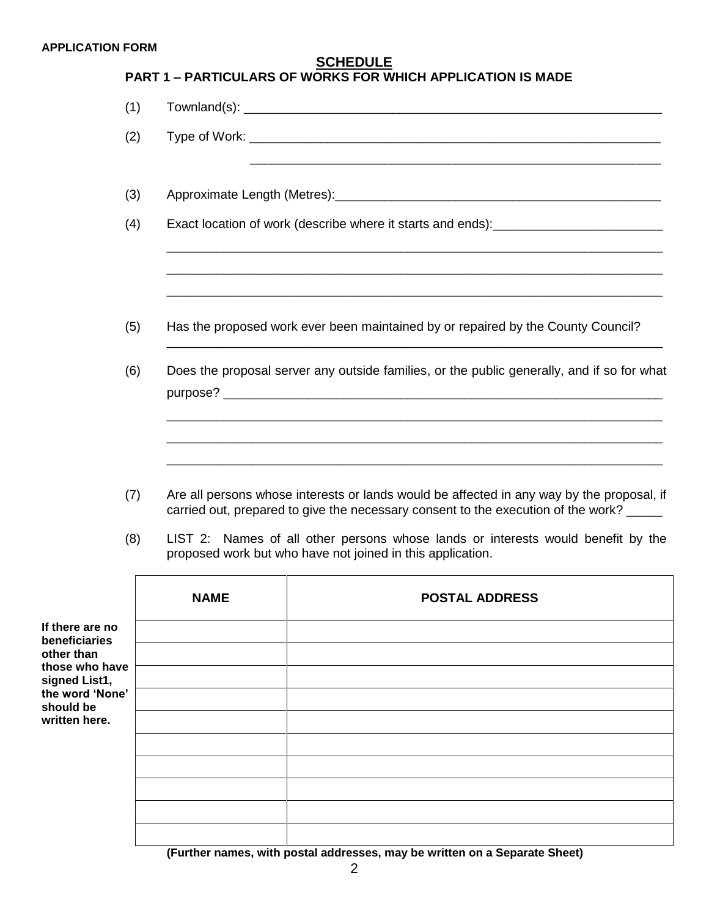# **PART 1 – PARTICULARS OF WORKS FOR WHICH APPLICATION IS MADE**

| (1) |                                                                                                                 |  |  |  |  |  |
|-----|-----------------------------------------------------------------------------------------------------------------|--|--|--|--|--|
| (2) |                                                                                                                 |  |  |  |  |  |
| (3) |                                                                                                                 |  |  |  |  |  |
| (4) | Exact location of work (describe where it starts and ends):_____________________                                |  |  |  |  |  |
| (5) | Has the proposed work ever been maintained by or repaired by the County Council?                                |  |  |  |  |  |
| (6) | Does the proposal server any outside families, or the public generally, and if so for what                      |  |  |  |  |  |
|     |                                                                                                                 |  |  |  |  |  |
|     | the contract of the contract of the contract of the contract of the contract of the contract of the contract of |  |  |  |  |  |

- (7) Are all persons whose interests or lands would be affected in any way by the proposal, if carried out, prepared to give the necessary consent to the execution of the work?
- (8) LIST 2: Names of all other persons whose lands or interests would benefit by the proposed work but who have not joined in this application.

|                                               | <b>NAME</b>                                 | <b>POSTAL ADDRESS</b>                                                                                          |
|-----------------------------------------------|---------------------------------------------|----------------------------------------------------------------------------------------------------------------|
| If there are no<br>beneficiaries              |                                             |                                                                                                                |
| other than<br>those who have<br>signed List1, |                                             |                                                                                                                |
| the word 'None'<br>should be                  |                                             |                                                                                                                |
| written here.                                 |                                             |                                                                                                                |
|                                               |                                             |                                                                                                                |
|                                               |                                             |                                                                                                                |
|                                               |                                             |                                                                                                                |
|                                               | $\sqrt{10}$ and $\sqrt{10}$ and $\sqrt{10}$ | stilian e estadounidense ao composición e composición de la constructiva de la contradición de la contradición |

**(Further names, with postal addresses, may be written on a Separate Sheet)**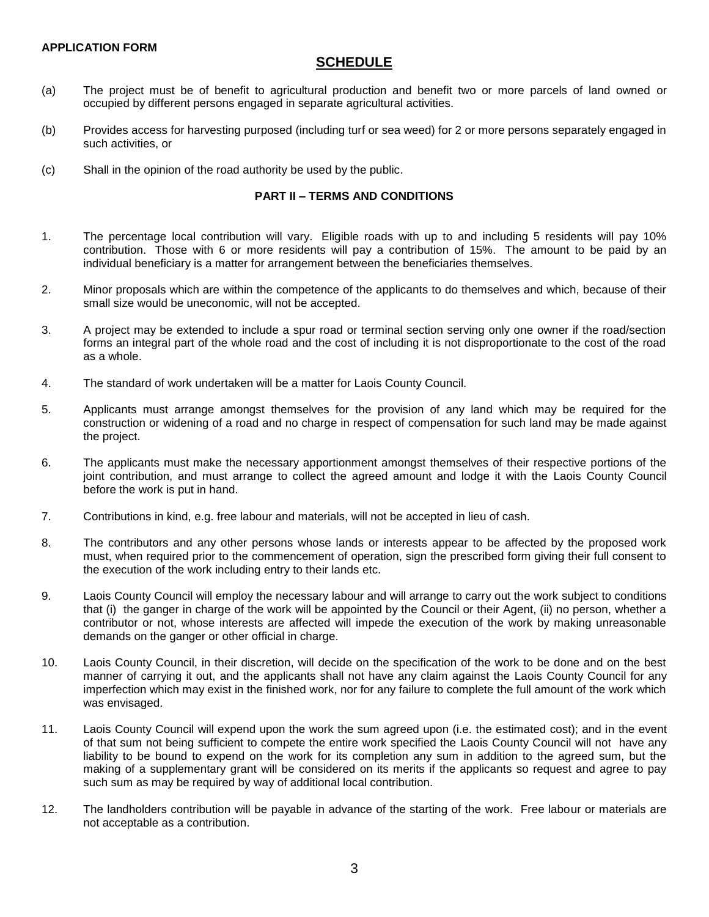# **SCHEDULE**

- (a) The project must be of benefit to agricultural production and benefit two or more parcels of land owned or occupied by different persons engaged in separate agricultural activities.
- (b) Provides access for harvesting purposed (including turf or sea weed) for 2 or more persons separately engaged in such activities, or
- (c) Shall in the opinion of the road authority be used by the public.

#### **PART II – TERMS AND CONDITIONS**

- 1. The percentage local contribution will vary. Eligible roads with up to and including 5 residents will pay 10% contribution. Those with 6 or more residents will pay a contribution of 15%. The amount to be paid by an individual beneficiary is a matter for arrangement between the beneficiaries themselves.
- 2. Minor proposals which are within the competence of the applicants to do themselves and which, because of their small size would be uneconomic, will not be accepted.
- 3. A project may be extended to include a spur road or terminal section serving only one owner if the road/section forms an integral part of the whole road and the cost of including it is not disproportionate to the cost of the road as a whole.
- 4. The standard of work undertaken will be a matter for Laois County Council.
- 5. Applicants must arrange amongst themselves for the provision of any land which may be required for the construction or widening of a road and no charge in respect of compensation for such land may be made against the project.
- 6. The applicants must make the necessary apportionment amongst themselves of their respective portions of the joint contribution, and must arrange to collect the agreed amount and lodge it with the Laois County Council before the work is put in hand.
- 7. Contributions in kind, e.g. free labour and materials, will not be accepted in lieu of cash.
- 8. The contributors and any other persons whose lands or interests appear to be affected by the proposed work must, when required prior to the commencement of operation, sign the prescribed form giving their full consent to the execution of the work including entry to their lands etc.
- 9. Laois County Council will employ the necessary labour and will arrange to carry out the work subject to conditions that (i) the ganger in charge of the work will be appointed by the Council or their Agent, (ii) no person, whether a contributor or not, whose interests are affected will impede the execution of the work by making unreasonable demands on the ganger or other official in charge.
- 10. Laois County Council, in their discretion, will decide on the specification of the work to be done and on the best manner of carrying it out, and the applicants shall not have any claim against the Laois County Council for any imperfection which may exist in the finished work, nor for any failure to complete the full amount of the work which was envisaged.
- 11. Laois County Council will expend upon the work the sum agreed upon (i.e. the estimated cost); and in the event of that sum not being sufficient to compete the entire work specified the Laois County Council will not have any liability to be bound to expend on the work for its completion any sum in addition to the agreed sum, but the making of a supplementary grant will be considered on its merits if the applicants so request and agree to pay such sum as may be required by way of additional local contribution.
- 12. The landholders contribution will be payable in advance of the starting of the work. Free labour or materials are not acceptable as a contribution.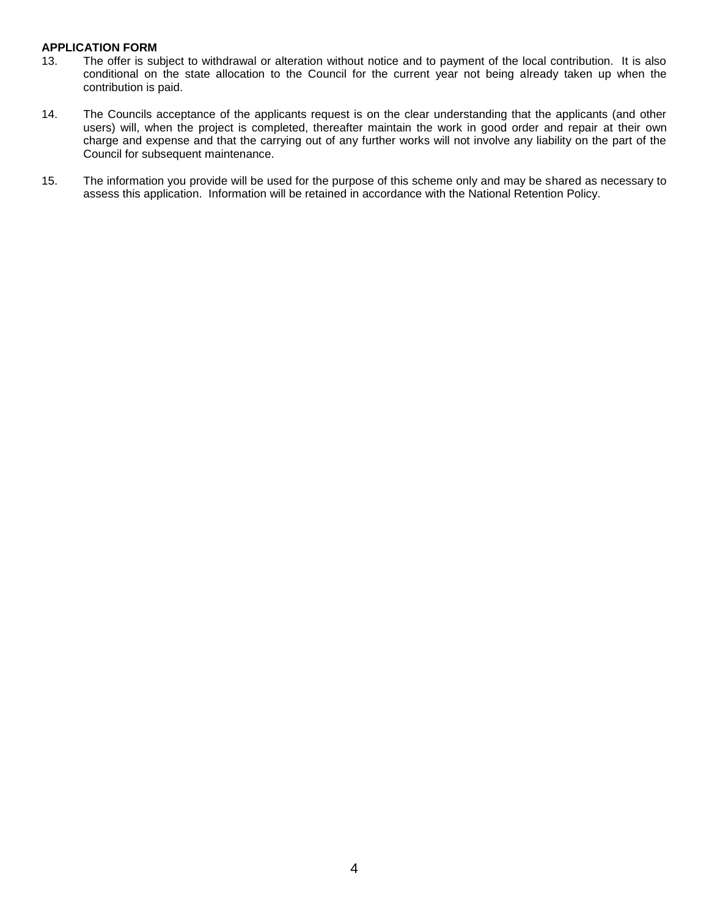- 13. The offer is subject to withdrawal or alteration without notice and to payment of the local contribution. It is also conditional on the state allocation to the Council for the current year not being already taken up when the contribution is paid.
- 14. The Councils acceptance of the applicants request is on the clear understanding that the applicants (and other users) will, when the project is completed, thereafter maintain the work in good order and repair at their own charge and expense and that the carrying out of any further works will not involve any liability on the part of the Council for subsequent maintenance.
- 15. The information you provide will be used for the purpose of this scheme only and may be shared as necessary to assess this application. Information will be retained in accordance with the National Retention Policy.